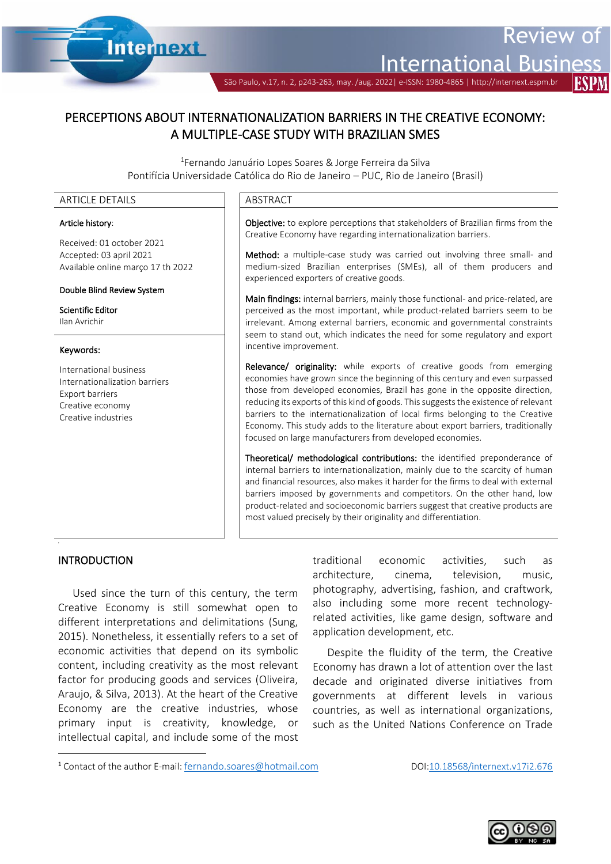

International

Review of

São Paulo, v.17, n. 2, p243-263, may. /aug. 2022| e-ISSN: 1980-4865 | http://internext.espm.b

# PERCEPTIONS ABOUT INTERNATIONALIZATION BARRIERS IN THE CREATIVE ECONOMY: A MULTIPLE-CASE STUDY WITH BRAZILIAN SMES

Ī

<sup>1</sup>Fernando Januário Lopes Soares & Jorge Ferreira da Silva Pontifícia Universidade Católica do Rio de Janeiro – PUC, Rio de Janeiro (Brasil)

#### ARTICLE DETAILS **ARTICLE** DETAILS

#### Article history:

Received: 01 october 2021 Accepted: 03 april 2021 Available online março 17 th 2022

#### Double Blind Review System

Scientific Editor Ilan Avrichir

#### Keywords:

International business Internationalization barriers Export barriers Creative economy Creative industries

Objective: to explore perceptions that stakeholders of Brazilian firms from the Creative Economy have regarding internationalization barriers.

Method: a multiple-case study was carried out involving three small- and medium-sized Brazilian enterprises (SMEs), all of them producers and experienced exporters of creative goods.

Main findings: internal barriers, mainly those functional- and price-related, are perceived as the most important, while product-related barriers seem to be irrelevant. Among external barriers, economic and governmental constraints seem to stand out, which indicates the need for some regulatory and export incentive improvement.

Relevance/ originality: while exports of creative goods from emerging economies have grown since the beginning of this century and even surpassed those from developed economies, Brazil has gone in the opposite direction, reducing its exports of this kind of goods. This suggests the existence of relevant barriers to the internationalization of local firms belonging to the Creative Economy. This study adds to the literature about export barriers, traditionally focused on large manufacturers from developed economies.

Theoretical/ methodological contributions: the identified preponderance of internal barriers to internationalization, mainly due to the scarcity of human and financial resources, also makes it harder for the firms to deal with external barriers imposed by governments and competitors. On the other hand, low product-related and socioeconomic barriers suggest that creative products are most valued precisely by their originality and differentiation.

## **INTRODUCTION**

,

Used since the turn of this century, the term Creative Economy is still somewhat open to different interpretations and delimitations (Sung, 2015). Nonetheless, it essentially refers to a set of economic activities that depend on its symbolic content, including creativity as the most relevant factor for producing goods and services (Oliveira, Araujo, & Silva, 2013). At the heart of the Creative Economy are the creative industries, whose primary input is creativity, knowledge, or intellectual capital, and include some of the most traditional economic activities, such as architecture, cinema, television, music, photography, advertising, fashion, and craftwork, also including some more recent technologyrelated activities, like game design, software and application development, etc.

Despite the fluidity of the term, the Creative Economy has drawn a lot of attention over the last decade and originated diverse initiatives from governments at different levels in various countries, as well as international organizations, such as the United Nations Conference on Trade



<sup>1</sup> Contact of the author E-mail: [fernando.soares@hotmail.com](mailto:fernando.soares@hotmail.com)DOI:10.18568/internext.v17i2.676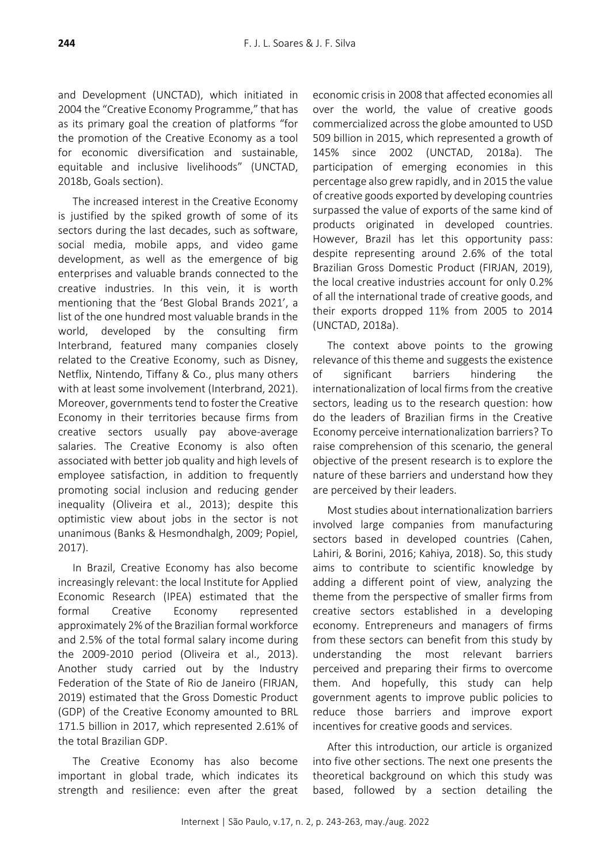and Development (UNCTAD), which initiated in 2004 the "Creative Economy Programme," that has as its primary goal the creation of platforms "for the promotion of the Creative Economy as a tool for economic diversification and sustainable, equitable and inclusive livelihoods" (UNCTAD, 2018b, Goals section).

The increased interest in the Creative Economy is justified by the spiked growth of some of its sectors during the last decades, such as software, social media, mobile apps, and video game development, as well as the emergence of big enterprises and valuable brands connected to the creative industries. In this vein, it is worth mentioning that the 'Best Global Brands 2021', a list of the one hundred most valuable brands in the world, developed by the consulting firm Interbrand, featured many companies closely related to the Creative Economy, such as Disney, Netflix, Nintendo, Tiffany & Co., plus many others with at least some involvement (Interbrand, 2021). Moreover, governments tend to foster the Creative Economy in their territories because firms from creative sectors usually pay above-average salaries. The Creative Economy is also often associated with better job quality and high levels of employee satisfaction, in addition to frequently promoting social inclusion and reducing gender inequality (Oliveira et al., 2013); despite this optimistic view about jobs in the sector is not unanimous (Banks & Hesmondhalgh, 2009; Popiel, 2017).

In Brazil, Creative Economy has also become increasingly relevant: the local Institute for Applied Economic Research (IPEA) estimated that the formal Creative Economy represented approximately 2% of the Brazilian formal workforce and 2.5% of the total formal salary income during the 2009-2010 period (Oliveira et al., 2013). Another study carried out by the Industry Federation of the State of Rio de Janeiro (FIRJAN, 2019) estimated that the Gross Domestic Product (GDP) of the Creative Economy amounted to BRL 171.5 billion in 2017, which represented 2.61% of the total Brazilian GDP.

The Creative Economy has also become important in global trade, which indicates its strength and resilience: even after the great

economic crisis in 2008 that affected economies all over the world, the value of creative goods commercialized across the globe amounted to USD 509 billion in 2015, which represented a growth of 145% since 2002 (UNCTAD, 2018a). The participation of emerging economies in this percentage also grew rapidly, and in 2015 the value of creative goods exported by developing countries surpassed the value of exports of the same kind of products originated in developed countries. However, Brazil has let this opportunity pass: despite representing around 2.6% of the total Brazilian Gross Domestic Product (FIRJAN, 2019), the local creative industries account for only 0.2% of all the international trade of creative goods, and their exports dropped 11% from 2005 to 2014 (UNCTAD, 2018a).

The context above points to the growing relevance of this theme and suggests the existence of significant barriers hindering the internationalization of local firms from the creative sectors, leading us to the research question: how do the leaders of Brazilian firms in the Creative Economy perceive internationalization barriers? To raise comprehension of this scenario, the general objective of the present research is to explore the nature of these barriers and understand how they are perceived by their leaders.

Most studies about internationalization barriers involved large companies from manufacturing sectors based in developed countries (Cahen, Lahiri, & Borini, 2016; Kahiya, 2018). So, this study aims to contribute to scientific knowledge by adding a different point of view, analyzing the theme from the perspective of smaller firms from creative sectors established in a developing economy. Entrepreneurs and managers of firms from these sectors can benefit from this study by understanding the most relevant barriers perceived and preparing their firms to overcome them. And hopefully, this study can help government agents to improve public policies to reduce those barriers and improve export incentives for creative goods and services.

After this introduction, our article is organized into five other sections. The next one presents the theoretical background on which this study was based, followed by a section detailing the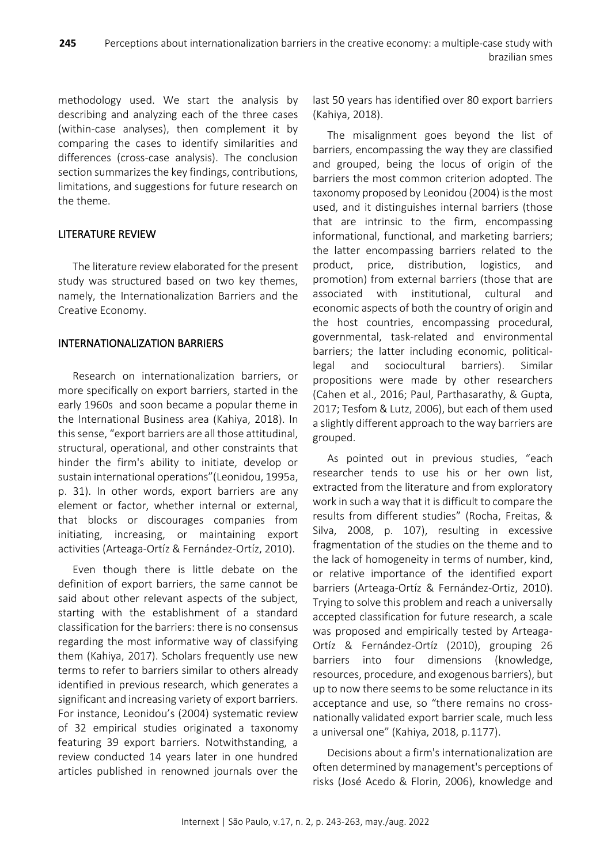methodology used. We start the analysis by describing and analyzing each of the three cases (within-case analyses), then complement it by comparing the cases to identify similarities and differences (cross-case analysis). The conclusion section summarizes the key findings, contributions, limitations, and suggestions for future research on the theme.

# LITERATURE REVIEW

The literature review elaborated for the present study was structured based on two key themes, namely, the Internationalization Barriers and the Creative Economy.

# INTERNATIONALIZATION BARRIERS

Research on internationalization barriers, or more specifically on export barriers, started in the early 1960s and soon became a popular theme in the International Business area (Kahiya, 2018). In this sense, "export barriers are all those attitudinal, structural, operational, and other constraints that hinder the firm's ability to initiate, develop or sustain international operations"(Leonidou, 1995a, p. 31). In other words, export barriers are any element or factor, whether internal or external, that blocks or discourages companies from initiating, increasing, or maintaining export activities (Arteaga-Ortíz & Fernández-Ortíz, 2010).

Even though there is little debate on the definition of export barriers, the same cannot be said about other relevant aspects of the subject, starting with the establishment of a standard classification for the barriers: there is no consensus regarding the most informative way of classifying them (Kahiya, 2017). Scholars frequently use new terms to refer to barriers similar to others already identified in previous research, which generates a significant and increasing variety of export barriers. For instance, Leonidou's (2004) systematic review of 32 empirical studies originated a taxonomy featuring 39 export barriers. Notwithstanding, a review conducted 14 years later in one hundred articles published in renowned journals over the

last 50 years has identified over 80 export barriers (Kahiya, 2018).

The misalignment goes beyond the list of barriers, encompassing the way they are classified and grouped, being the locus of origin of the barriers the most common criterion adopted. The taxonomy proposed by Leonidou (2004) is the most used, and it distinguishes internal barriers (those that are intrinsic to the firm, encompassing informational, functional, and marketing barriers; the latter encompassing barriers related to the product, price, distribution, logistics, and promotion) from external barriers (those that are associated with institutional, cultural and economic aspects of both the country of origin and the host countries, encompassing procedural, governmental, task-related and environmental barriers; the latter including economic, politicallegal and sociocultural barriers). Similar propositions were made by other researchers (Cahen et al., 2016; Paul, Parthasarathy, & Gupta, 2017; Tesfom & Lutz, 2006), but each of them used a slightly different approach to the way barriers are grouped.

As pointed out in previous studies, "each researcher tends to use his or her own list, extracted from the literature and from exploratory work in such a way that it is difficult to compare the results from different studies" (Rocha, Freitas, & Silva, 2008, p. 107), resulting in excessive fragmentation of the studies on the theme and to the lack of homogeneity in terms of number, kind, or relative importance of the identified export barriers (Arteaga-Ortíz & Fernández-Ortiz, 2010). Trying to solve this problem and reach a universally accepted classification for future research, a scale was proposed and empirically tested by Arteaga-Ortíz & Fernández-Ortíz (2010), grouping 26 barriers into four dimensions (knowledge, resources, procedure, and exogenous barriers), but up to now there seems to be some reluctance in its acceptance and use, so "there remains no crossnationally validated export barrier scale, much less a universal one" (Kahiya, 2018, p.1177).

Decisions about a firm's internationalization are often determined by management's perceptions of risks (José Acedo & Florin, 2006), knowledge and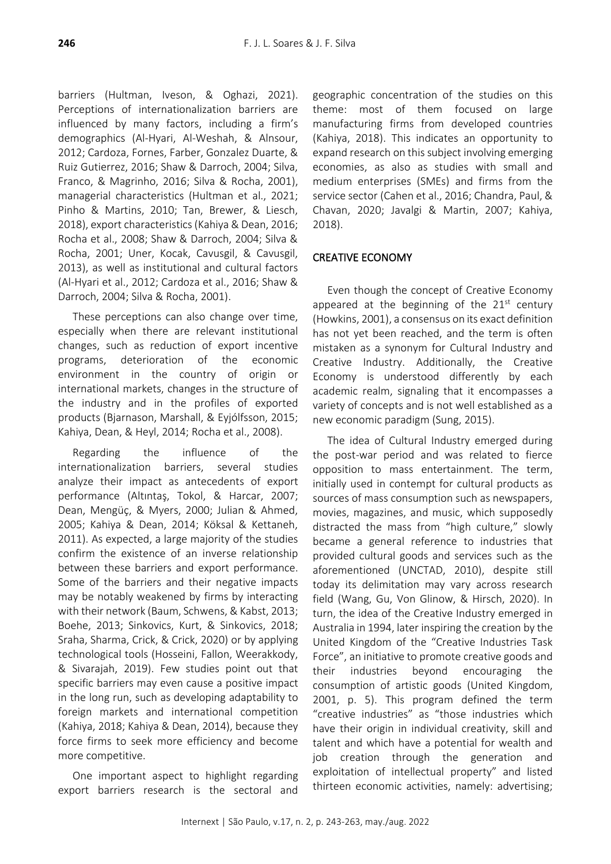barriers (Hultman, Iveson, & Oghazi, 2021). Perceptions of internationalization barriers are influenced by many factors, including a firm's demographics (Al‐Hyari, Al‐Weshah, & Alnsour, 2012; Cardoza, Fornes, Farber, Gonzalez Duarte, & Ruiz Gutierrez, 2016; Shaw & Darroch, 2004; Silva, Franco, & Magrinho, 2016; Silva & Rocha, 2001), managerial characteristics (Hultman et al., 2021; Pinho & Martins, 2010; Tan, Brewer, & Liesch, 2018), export characteristics(Kahiya & Dean, 2016; Rocha et al., 2008; Shaw & Darroch, 2004; Silva & Rocha, 2001; Uner, Kocak, Cavusgil, & Cavusgil, 2013), as well as institutional and cultural factors (Al‐Hyari et al., 2012; Cardoza et al., 2016; Shaw & Darroch, 2004; Silva & Rocha, 2001).

These perceptions can also change over time, especially when there are relevant institutional changes, such as reduction of export incentive programs, deterioration of the economic environment in the country of origin or international markets, changes in the structure of the industry and in the profiles of exported products (Bjarnason, Marshall, & Eyjólfsson, 2015; Kahiya, Dean, & Heyl, 2014; Rocha et al., 2008).

Regarding the influence of the internationalization barriers, several studies analyze their impact as antecedents of export performance (Altıntaş, Tokol, & Harcar, 2007; Dean, Mengüç, & Myers, 2000; Julian & Ahmed, 2005; Kahiya & Dean, 2014; Köksal & Kettaneh, 2011). As expected, a large majority of the studies confirm the existence of an inverse relationship between these barriers and export performance. Some of the barriers and their negative impacts may be notably weakened by firms by interacting with their network (Baum, Schwens, & Kabst, 2013; Boehe, 2013; Sinkovics, Kurt, & Sinkovics, 2018; Sraha, Sharma, Crick, & Crick, 2020) or by applying technological tools (Hosseini, Fallon, Weerakkody, & Sivarajah, 2019). Few studies point out that specific barriers may even cause a positive impact in the long run, such as developing adaptability to foreign markets and international competition (Kahiya, 2018; Kahiya & Dean, 2014), because they force firms to seek more efficiency and become more competitive.

One important aspect to highlight regarding export barriers research is the sectoral and

geographic concentration of the studies on this theme: most of them focused on large manufacturing firms from developed countries (Kahiya, 2018). This indicates an opportunity to expand research on this subject involving emerging economies, as also as studies with small and medium enterprises (SMEs) and firms from the service sector (Cahen et al., 2016; Chandra, Paul, & Chavan, 2020; Javalgi & Martin, 2007; Kahiya, 2018).

# CREATIVE ECONOMY

Even though the concept of Creative Economy appeared at the beginning of the  $21^{st}$  century (Howkins, 2001), a consensus on its exact definition has not yet been reached, and the term is often mistaken as a synonym for Cultural Industry and Creative Industry. Additionally, the Creative Economy is understood differently by each academic realm, signaling that it encompasses a variety of concepts and is not well established as a new economic paradigm (Sung, 2015).

The idea of Cultural Industry emerged during the post-war period and was related to fierce opposition to mass entertainment. The term, initially used in contempt for cultural products as sources of mass consumption such as newspapers, movies, magazines, and music, which supposedly distracted the mass from "high culture," slowly became a general reference to industries that provided cultural goods and services such as the aforementioned (UNCTAD, 2010), despite still today its delimitation may vary across research field (Wang, Gu, Von Glinow, & Hirsch, 2020). In turn, the idea of the Creative Industry emerged in Australia in 1994, later inspiring the creation by the United Kingdom of the "Creative Industries Task Force", an initiative to promote creative goods and their industries beyond encouraging the consumption of artistic goods (United Kingdom, 2001, p. 5). This program defined the term "creative industries" as "those industries which have their origin in individual creativity, skill and talent and which have a potential for wealth and job creation through the generation and exploitation of intellectual property" and listed thirteen economic activities, namely: advertising;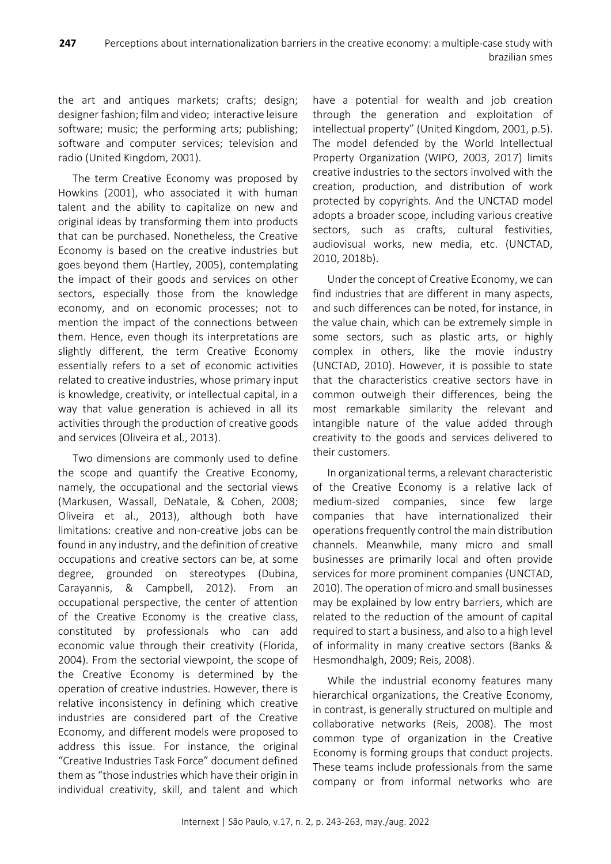the art and antiques markets; crafts; design; designer fashion; film and video; interactive leisure software; music; the performing arts; publishing; software and computer services; television and radio (United Kingdom, 2001).

The term Creative Economy was proposed by Howkins (2001), who associated it with human talent and the ability to capitalize on new and original ideas by transforming them into products that can be purchased. Nonetheless, the Creative Economy is based on the creative industries but goes beyond them (Hartley, 2005), contemplating the impact of their goods and services on other sectors, especially those from the knowledge economy, and on economic processes; not to mention the impact of the connections between them. Hence, even though its interpretations are slightly different, the term Creative Economy essentially refers to a set of economic activities related to creative industries, whose primary input is knowledge, creativity, or intellectual capital, in a way that value generation is achieved in all its activities through the production of creative goods and services (Oliveira et al., 2013).

Two dimensions are commonly used to define the scope and quantify the Creative Economy, namely, the occupational and the sectorial views (Markusen, Wassall, DeNatale, & Cohen, 2008; Oliveira et al., 2013), although both have limitations: creative and non-creative jobs can be found in any industry, and the definition of creative occupations and creative sectors can be, at some degree, grounded on stereotypes (Dubina, Carayannis, & Campbell, 2012). From an occupational perspective, the center of attention of the Creative Economy is the creative class, constituted by professionals who can add economic value through their creativity (Florida, 2004). From the sectorial viewpoint, the scope of the Creative Economy is determined by the operation of creative industries. However, there is relative inconsistency in defining which creative industries are considered part of the Creative Economy, and different models were proposed to address this issue. For instance, the original "Creative Industries Task Force" document defined them as "those industries which have their origin in individual creativity, skill, and talent and which

have a potential for wealth and job creation through the generation and exploitation of intellectual property" (United Kingdom, 2001, p.5). The model defended by the World Intellectual Property Organization (WIPO, 2003, 2017) limits creative industries to the sectors involved with the creation, production, and distribution of work protected by copyrights. And the UNCTAD model adopts a broader scope, including various creative sectors, such as crafts, cultural festivities, audiovisual works, new media, etc. (UNCTAD, 2010, 2018b).

Under the concept of Creative Economy, we can find industries that are different in many aspects, and such differences can be noted, for instance, in the value chain, which can be extremely simple in some sectors, such as plastic arts, or highly complex in others, like the movie industry (UNCTAD, 2010). However, it is possible to state that the characteristics creative sectors have in common outweigh their differences, being the most remarkable similarity the relevant and intangible nature of the value added through creativity to the goods and services delivered to their customers.

In organizational terms, a relevant characteristic of the Creative Economy is a relative lack of medium-sized companies, since few large companies that have internationalized their operations frequently control the main distribution channels. Meanwhile, many micro and small businesses are primarily local and often provide services for more prominent companies (UNCTAD, 2010). The operation of micro and small businesses may be explained by low entry barriers, which are related to the reduction of the amount of capital required to start a business, and also to a high level of informality in many creative sectors (Banks & Hesmondhalgh, 2009; Reis, 2008).

While the industrial economy features many hierarchical organizations, the Creative Economy, in contrast, is generally structured on multiple and collaborative networks (Reis, 2008). The most common type of organization in the Creative Economy is forming groups that conduct projects. These teams include professionals from the same company or from informal networks who are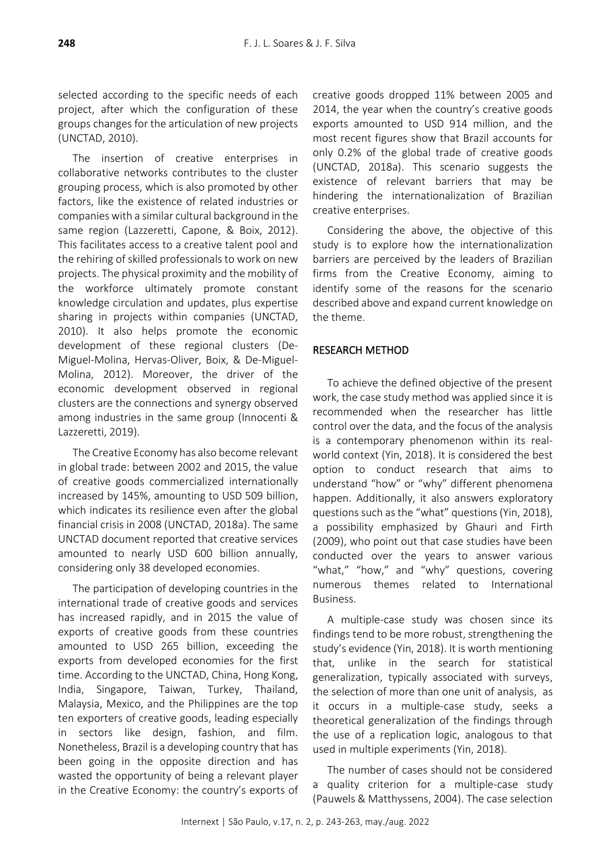selected according to the specific needs of each project, after which the configuration of these groups changes for the articulation of new projects (UNCTAD, 2010).

The insertion of creative enterprises in collaborative networks contributes to the cluster grouping process, which is also promoted by other factors, like the existence of related industries or companies with a similar cultural background in the same region (Lazzeretti, Capone, & Boix, 2012). This facilitates access to a creative talent pool and the rehiring of skilled professionals to work on new projects. The physical proximity and the mobility of the workforce ultimately promote constant knowledge circulation and updates, plus expertise sharing in projects within companies (UNCTAD, 2010). It also helps promote the economic development of these regional clusters (De-Miguel-Molina, Hervas-Oliver, Boix, & De-Miguel-Molina, 2012). Moreover, the driver of the economic development observed in regional clusters are the connections and synergy observed among industries in the same group (Innocenti & Lazzeretti, 2019).

The Creative Economy has also become relevant in global trade: between 2002 and 2015, the value of creative goods commercialized internationally increased by 145%, amounting to USD 509 billion, which indicates its resilience even after the global financial crisis in 2008 (UNCTAD, 2018a). The same UNCTAD document reported that creative services amounted to nearly USD 600 billion annually, considering only 38 developed economies.

The participation of developing countries in the international trade of creative goods and services has increased rapidly, and in 2015 the value of exports of creative goods from these countries amounted to USD 265 billion, exceeding the exports from developed economies for the first time. According to the UNCTAD, China, Hong Kong, India, Singapore, Taiwan, Turkey, Thailand, Malaysia, Mexico, and the Philippines are the top ten exporters of creative goods, leading especially in sectors like design, fashion, and film. Nonetheless, Brazil is a developing country that has been going in the opposite direction and has wasted the opportunity of being a relevant player in the Creative Economy: the country's exports of creative goods dropped 11% between 2005 and 2014, the year when the country's creative goods exports amounted to USD 914 million, and the most recent figures show that Brazil accounts for only 0.2% of the global trade of creative goods (UNCTAD, 2018a). This scenario suggests the existence of relevant barriers that may be hindering the internationalization of Brazilian creative enterprises.

Considering the above, the objective of this study is to explore how the internationalization barriers are perceived by the leaders of Brazilian firms from the Creative Economy, aiming to identify some of the reasons for the scenario described above and expand current knowledge on the theme.

# RESEARCH METHOD

To achieve the defined objective of the present work, the case study method was applied since it is recommended when the researcher has little control over the data, and the focus of the analysis is a contemporary phenomenon within its realworld context (Yin, 2018). It is considered the best option to conduct research that aims to understand "how" or "why" different phenomena happen. Additionally, it also answers exploratory questions such as the "what" questions (Yin, 2018), a possibility emphasized by Ghauri and Firth (2009), who point out that case studies have been conducted over the years to answer various "what," "how," and "why" questions, covering numerous themes related to International Business.

A multiple-case study was chosen since its findings tend to be more robust, strengthening the study's evidence (Yin, 2018). It is worth mentioning that, unlike in the search for statistical generalization, typically associated with surveys, the selection of more than one unit of analysis, as it occurs in a multiple-case study, seeks a theoretical generalization of the findings through the use of a replication logic, analogous to that used in multiple experiments (Yin, 2018).

The number of cases should not be considered a quality criterion for a multiple-case study (Pauwels & Matthyssens, 2004). The case selection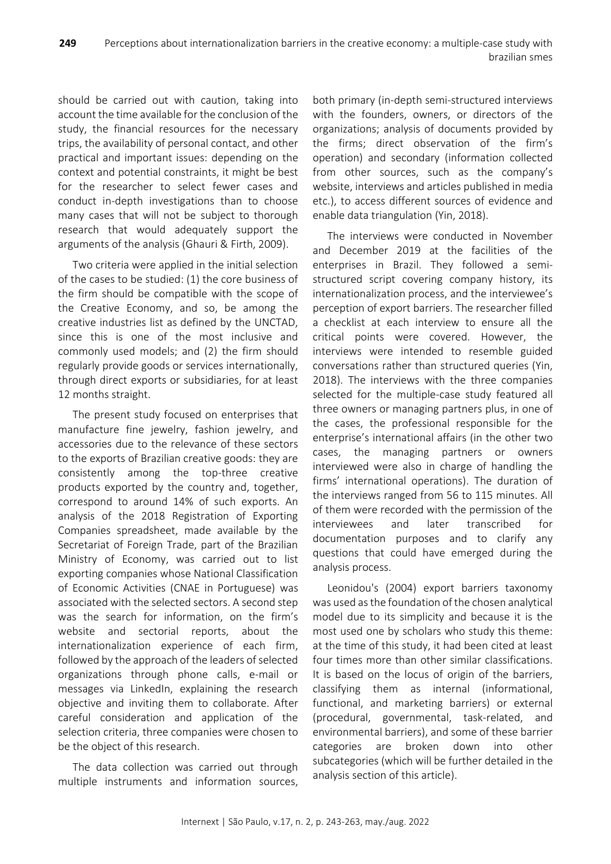should be carried out with caution, taking into account the time available for the conclusion of the study, the financial resources for the necessary trips, the availability of personal contact, and other practical and important issues: depending on the context and potential constraints, it might be best for the researcher to select fewer cases and conduct in-depth investigations than to choose many cases that will not be subject to thorough research that would adequately support the arguments of the analysis (Ghauri & Firth, 2009).

Two criteria were applied in the initial selection of the cases to be studied: (1) the core business of the firm should be compatible with the scope of the Creative Economy, and so, be among the creative industries list as defined by the UNCTAD, since this is one of the most inclusive and commonly used models; and (2) the firm should regularly provide goods or services internationally, through direct exports or subsidiaries, for at least 12 months straight.

The present study focused on enterprises that manufacture fine jewelry, fashion jewelry, and accessories due to the relevance of these sectors to the exports of Brazilian creative goods: they are consistently among the top-three creative products exported by the country and, together, correspond to around 14% of such exports. An analysis of the 2018 Registration of Exporting Companies spreadsheet, made available by the Secretariat of Foreign Trade, part of the Brazilian Ministry of Economy, was carried out to list exporting companies whose National Classification of Economic Activities (CNAE in Portuguese) was associated with the selected sectors. A second step was the search for information, on the firm's website and sectorial reports, about the internationalization experience of each firm, followed by the approach of the leaders of selected organizations through phone calls, e-mail or messages via LinkedIn, explaining the research objective and inviting them to collaborate. After careful consideration and application of the selection criteria, three companies were chosen to be the object of this research.

The data collection was carried out through multiple instruments and information sources,

both primary (in-depth semi-structured interviews with the founders, owners, or directors of the organizations; analysis of documents provided by the firms; direct observation of the firm's operation) and secondary (information collected from other sources, such as the company's website, interviews and articles published in media etc.), to access different sources of evidence and enable data triangulation (Yin, 2018).

The interviews were conducted in November and December 2019 at the facilities of the enterprises in Brazil. They followed a semistructured script covering company history, its internationalization process, and the interviewee's perception of export barriers. The researcher filled a checklist at each interview to ensure all the critical points were covered. However, the interviews were intended to resemble guided conversations rather than structured queries (Yin, 2018). The interviews with the three companies selected for the multiple-case study featured all three owners or managing partners plus, in one of the cases, the professional responsible for the enterprise's international affairs (in the other two cases, the managing partners or owners interviewed were also in charge of handling the firms' international operations). The duration of the interviews ranged from 56 to 115 minutes. All of them were recorded with the permission of the interviewees and later transcribed for documentation purposes and to clarify any questions that could have emerged during the analysis process.

Leonidou's (2004) export barriers taxonomy was used as the foundation of the chosen analytical model due to its simplicity and because it is the most used one by scholars who study this theme: at the time of this study, it had been cited at least four times more than other similar classifications. It is based on the locus of origin of the barriers, classifying them as internal (informational, functional, and marketing barriers) or external (procedural, governmental, task-related, and environmental barriers), and some of these barrier categories are broken down into other subcategories (which will be further detailed in the analysis section of this article).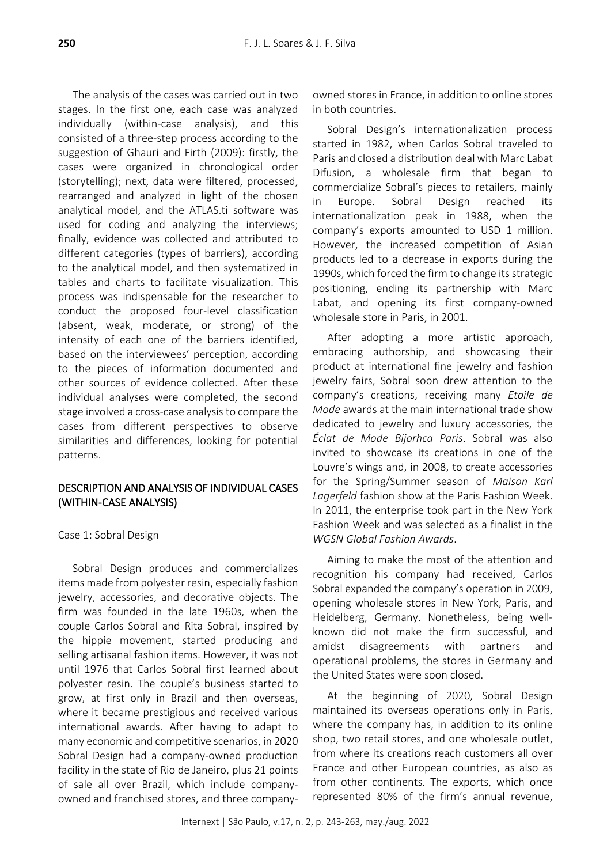The analysis of the cases was carried out in two stages. In the first one, each case was analyzed individually (within-case analysis), and this consisted of a three-step process according to the suggestion of Ghauri and Firth (2009): firstly, the cases were organized in chronological order (storytelling); next, data were filtered, processed, rearranged and analyzed in light of the chosen analytical model, and the ATLAS.ti software was used for coding and analyzing the interviews; finally, evidence was collected and attributed to different categories (types of barriers), according to the analytical model, and then systematized in tables and charts to facilitate visualization. This process was indispensable for the researcher to conduct the proposed four-level classification (absent, weak, moderate, or strong) of the intensity of each one of the barriers identified, based on the interviewees' perception, according to the pieces of information documented and other sources of evidence collected. After these individual analyses were completed, the second stage involved a cross-case analysisto compare the cases from different perspectives to observe similarities and differences, looking for potential patterns.

# DESCRIPTION AND ANALYSIS OF INDIVIDUAL CASES (WITHIN-CASE ANALYSIS)

Case 1: Sobral Design

Sobral Design produces and commercializes items made from polyester resin, especially fashion jewelry, accessories, and decorative objects. The firm was founded in the late 1960s, when the couple Carlos Sobral and Rita Sobral, inspired by the hippie movement, started producing and selling artisanal fashion items. However, it was not until 1976 that Carlos Sobral first learned about polyester resin. The couple's business started to grow, at first only in Brazil and then overseas, where it became prestigious and received various international awards. After having to adapt to many economic and competitive scenarios, in 2020 Sobral Design had a company-owned production facility in the state of Rio de Janeiro, plus 21 points of sale all over Brazil, which include companyowned and franchised stores, and three companyowned stores in France, in addition to online stores in both countries.

Sobral Design's internationalization process started in 1982, when Carlos Sobral traveled to Paris and closed a distribution deal with Marc Labat Difusion, a wholesale firm that began to commercialize Sobral's pieces to retailers, mainly in Europe. Sobral Design reached its internationalization peak in 1988, when the company's exports amounted to USD 1 million. However, the increased competition of Asian products led to a decrease in exports during the 1990s, which forced the firm to change its strategic positioning, ending its partnership with Marc Labat, and opening its first company-owned wholesale store in Paris, in 2001.

After adopting a more artistic approach, embracing authorship, and showcasing their product at international fine jewelry and fashion jewelry fairs, Sobral soon drew attention to the company's creations, receiving many *Etoile de Mode* awards at the main international trade show dedicated to jewelry and luxury accessories, the *Éclat de Mode Bijorhca Paris*. Sobral was also invited to showcase its creations in one of the Louvre's wings and, in 2008, to create accessories for the Spring/Summer season of *Maison Karl Lagerfeld* fashion show at the Paris Fashion Week. In 2011, the enterprise took part in the New York Fashion Week and was selected as a finalist in the *WGSN Global Fashion Awards*.

Aiming to make the most of the attention and recognition his company had received, Carlos Sobral expanded the company's operation in 2009, opening wholesale stores in New York, Paris, and Heidelberg, Germany. Nonetheless, being wellknown did not make the firm successful, and amidst disagreements with partners and operational problems, the stores in Germany and the United States were soon closed.

At the beginning of 2020, Sobral Design maintained its overseas operations only in Paris, where the company has, in addition to its online shop, two retail stores, and one wholesale outlet, from where its creations reach customers all over France and other European countries, as also as from other continents. The exports, which once represented 80% of the firm's annual revenue,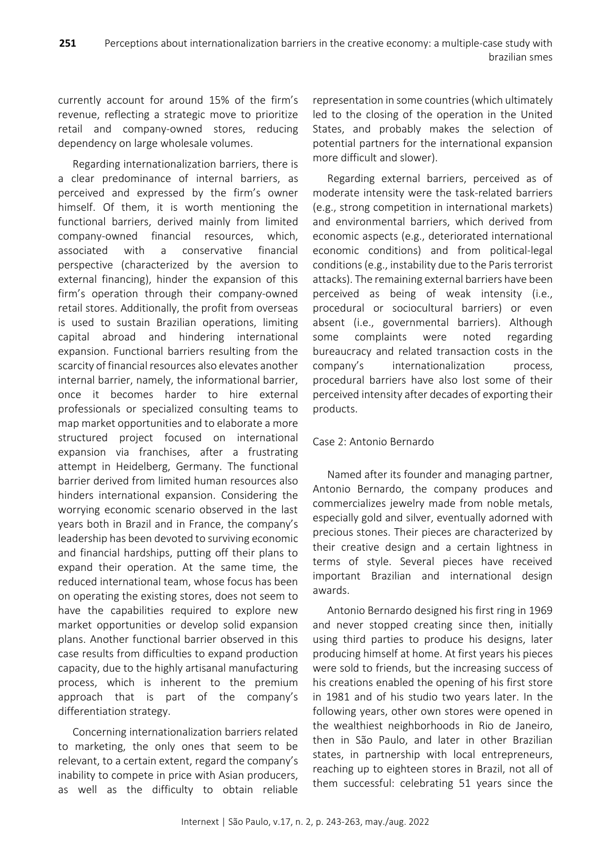currently account for around 15% of the firm's revenue, reflecting a strategic move to prioritize retail and company-owned stores, reducing dependency on large wholesale volumes.

Regarding internationalization barriers, there is a clear predominance of internal barriers, as perceived and expressed by the firm's owner himself. Of them, it is worth mentioning the functional barriers, derived mainly from limited company-owned financial resources, which, associated with a conservative financial perspective (characterized by the aversion to external financing), hinder the expansion of this firm's operation through their company-owned retail stores. Additionally, the profit from overseas is used to sustain Brazilian operations, limiting capital abroad and hindering international expansion. Functional barriers resulting from the scarcity of financial resources also elevates another internal barrier, namely, the informational barrier, once it becomes harder to hire external professionals or specialized consulting teams to map market opportunities and to elaborate a more structured project focused on international expansion via franchises, after a frustrating attempt in Heidelberg, Germany. The functional barrier derived from limited human resources also hinders international expansion. Considering the worrying economic scenario observed in the last years both in Brazil and in France, the company's leadership has been devoted to surviving economic and financial hardships, putting off their plans to expand their operation. At the same time, the reduced international team, whose focus has been on operating the existing stores, does not seem to have the capabilities required to explore new market opportunities or develop solid expansion plans. Another functional barrier observed in this case results from difficulties to expand production capacity, due to the highly artisanal manufacturing process, which is inherent to the premium approach that is part of the company's differentiation strategy.

Concerning internationalization barriers related to marketing, the only ones that seem to be relevant, to a certain extent, regard the company's inability to compete in price with Asian producers, as well as the difficulty to obtain reliable representation in some countries(which ultimately led to the closing of the operation in the United States, and probably makes the selection of potential partners for the international expansion more difficult and slower).

Regarding external barriers, perceived as of moderate intensity were the task-related barriers (e.g., strong competition in international markets) and environmental barriers, which derived from economic aspects (e.g., deteriorated international economic conditions) and from political-legal conditions (e.g., instability due to the Paris terrorist attacks). The remaining external barriers have been perceived as being of weak intensity (i.e., procedural or sociocultural barriers) or even absent (i.e., governmental barriers). Although some complaints were noted regarding bureaucracy and related transaction costs in the company's internationalization process, procedural barriers have also lost some of their perceived intensity after decades of exporting their products.

# Case 2: Antonio Bernardo

Named after its founder and managing partner, Antonio Bernardo, the company produces and commercializes jewelry made from noble metals, especially gold and silver, eventually adorned with precious stones. Their pieces are characterized by their creative design and a certain lightness in terms of style. Several pieces have received important Brazilian and international design awards.

Antonio Bernardo designed his first ring in 1969 and never stopped creating since then, initially using third parties to produce his designs, later producing himself at home. At first years his pieces were sold to friends, but the increasing success of his creations enabled the opening of his first store in 1981 and of his studio two years later. In the following years, other own stores were opened in the wealthiest neighborhoods in Rio de Janeiro, then in São Paulo, and later in other Brazilian states, in partnership with local entrepreneurs, reaching up to eighteen stores in Brazil, not all of them successful: celebrating 51 years since the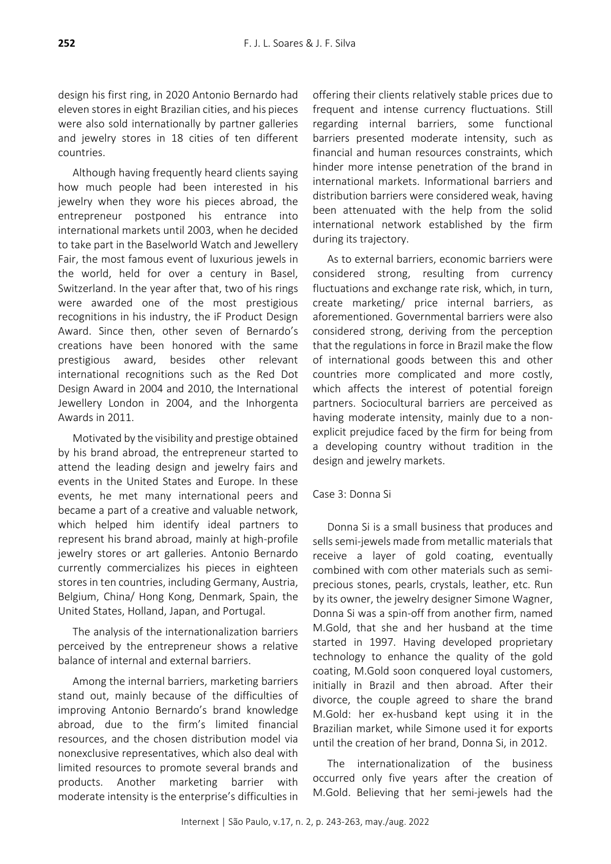design his first ring, in 2020 Antonio Bernardo had eleven stores in eight Brazilian cities, and his pieces were also sold internationally by partner galleries and jewelry stores in 18 cities of ten different countries.

Although having frequently heard clients saying how much people had been interested in his jewelry when they wore his pieces abroad, the entrepreneur postponed his entrance into international markets until 2003, when he decided to take part in the Baselworld Watch and Jewellery Fair, the most famous event of luxurious jewels in the world, held for over a century in Basel, Switzerland. In the year after that, two of his rings were awarded one of the most prestigious recognitions in his industry, the iF Product Design Award. Since then, other seven of Bernardo's creations have been honored with the same prestigious award, besides other relevant international recognitions such as the Red Dot Design Award in 2004 and 2010, the International Jewellery London in 2004, and the Inhorgenta Awards in 2011.

Motivated by the visibility and prestige obtained by his brand abroad, the entrepreneur started to attend the leading design and jewelry fairs and events in the United States and Europe. In these events, he met many international peers and became a part of a creative and valuable network, which helped him identify ideal partners to represent his brand abroad, mainly at high-profile jewelry stores or art galleries. Antonio Bernardo currently commercializes his pieces in eighteen stores in ten countries, including Germany, Austria, Belgium, China/ Hong Kong, Denmark, Spain, the United States, Holland, Japan, and Portugal.

The analysis of the internationalization barriers perceived by the entrepreneur shows a relative balance of internal and external barriers.

Among the internal barriers, marketing barriers stand out, mainly because of the difficulties of improving Antonio Bernardo's brand knowledge abroad, due to the firm's limited financial resources, and the chosen distribution model via nonexclusive representatives, which also deal with limited resources to promote several brands and products. Another marketing barrier with moderate intensity is the enterprise's difficulties in

offering their clients relatively stable prices due to frequent and intense currency fluctuations. Still regarding internal barriers, some functional barriers presented moderate intensity, such as financial and human resources constraints, which hinder more intense penetration of the brand in international markets. Informational barriers and distribution barriers were considered weak, having been attenuated with the help from the solid international network established by the firm during its trajectory.

As to external barriers, economic barriers were considered strong, resulting from currency fluctuations and exchange rate risk, which, in turn, create marketing/ price internal barriers, as aforementioned. Governmental barriers were also considered strong, deriving from the perception that the regulations in force in Brazil make the flow of international goods between this and other countries more complicated and more costly, which affects the interest of potential foreign partners. Sociocultural barriers are perceived as having moderate intensity, mainly due to a nonexplicit prejudice faced by the firm for being from a developing country without tradition in the design and jewelry markets.

## Case 3: Donna Si

Donna Si is a small business that produces and sells semi-jewels made from metallic materials that receive a layer of gold coating, eventually combined with com other materials such as semiprecious stones, pearls, crystals, leather, etc. Run by its owner, the jewelry designer Simone Wagner, Donna Si was a spin-off from another firm, named M.Gold, that she and her husband at the time started in 1997. Having developed proprietary technology to enhance the quality of the gold coating, M.Gold soon conquered loyal customers, initially in Brazil and then abroad. After their divorce, the couple agreed to share the brand M.Gold: her ex-husband kept using it in the Brazilian market, while Simone used it for exports until the creation of her brand, Donna Si, in 2012.

The internationalization of the business occurred only five years after the creation of M.Gold. Believing that her semi-jewels had the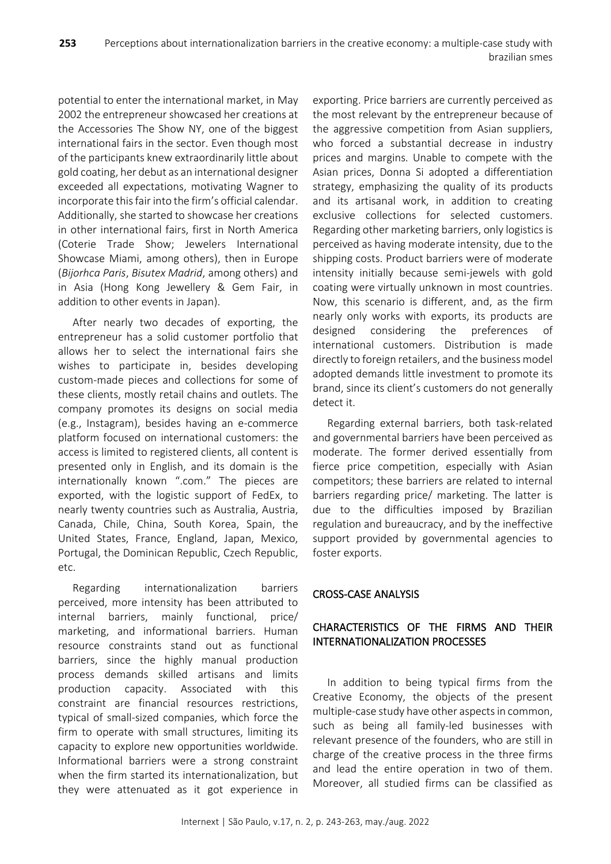potential to enter the international market, in May 2002 the entrepreneur showcased her creations at the Accessories The Show NY, one of the biggest international fairs in the sector. Even though most of the participants knew extraordinarily little about gold coating, her debut as an international designer exceeded all expectations, motivating Wagner to incorporate this fair into the firm's official calendar. Additionally, she started to showcase her creations in other international fairs, first in North America (Coterie Trade Show; Jewelers International Showcase Miami, among others), then in Europe (*Bijorhca Paris*, *Bisutex Madrid*, among others) and in Asia (Hong Kong Jewellery & Gem Fair, in addition to other events in Japan).

After nearly two decades of exporting, the entrepreneur has a solid customer portfolio that allows her to select the international fairs she wishes to participate in, besides developing custom-made pieces and collections for some of these clients, mostly retail chains and outlets. The company promotes its designs on social media (e.g., Instagram), besides having an e-commerce platform focused on international customers: the access is limited to registered clients, all content is presented only in English, and its domain is the internationally known ".com." The pieces are exported, with the logistic support of FedEx, to nearly twenty countries such as Australia, Austria, Canada, Chile, China, South Korea, Spain, the United States, France, England, Japan, Mexico, Portugal, the Dominican Republic, Czech Republic, etc.

Regarding internationalization barriers perceived, more intensity has been attributed to internal barriers, mainly functional, price/ marketing, and informational barriers. Human resource constraints stand out as functional barriers, since the highly manual production process demands skilled artisans and limits production capacity. Associated with this constraint are financial resources restrictions, typical of small-sized companies, which force the firm to operate with small structures, limiting its capacity to explore new opportunities worldwide. Informational barriers were a strong constraint when the firm started its internationalization, but they were attenuated as it got experience in

exporting. Price barriers are currently perceived as the most relevant by the entrepreneur because of the aggressive competition from Asian suppliers, who forced a substantial decrease in industry prices and margins. Unable to compete with the Asian prices, Donna Si adopted a differentiation strategy, emphasizing the quality of its products and its artisanal work, in addition to creating exclusive collections for selected customers. Regarding other marketing barriers, only logistics is perceived as having moderate intensity, due to the shipping costs. Product barriers were of moderate intensity initially because semi-jewels with gold coating were virtually unknown in most countries. Now, this scenario is different, and, as the firm nearly only works with exports, its products are designed considering the preferences of international customers. Distribution is made directly to foreign retailers, and the business model adopted demands little investment to promote its brand, since its client's customers do not generally detect it.

Regarding external barriers, both task-related and governmental barriers have been perceived as moderate. The former derived essentially from fierce price competition, especially with Asian competitors; these barriers are related to internal barriers regarding price/ marketing. The latter is due to the difficulties imposed by Brazilian regulation and bureaucracy, and by the ineffective support provided by governmental agencies to foster exports.

# CROSS-CASE ANALYSIS

# CHARACTERISTICS OF THE FIRMS AND THEIR INTERNATIONALIZATION PROCESSES

In addition to being typical firms from the Creative Economy, the objects of the present multiple-case study have other aspects in common, such as being all family-led businesses with relevant presence of the founders, who are still in charge of the creative process in the three firms and lead the entire operation in two of them. Moreover, all studied firms can be classified as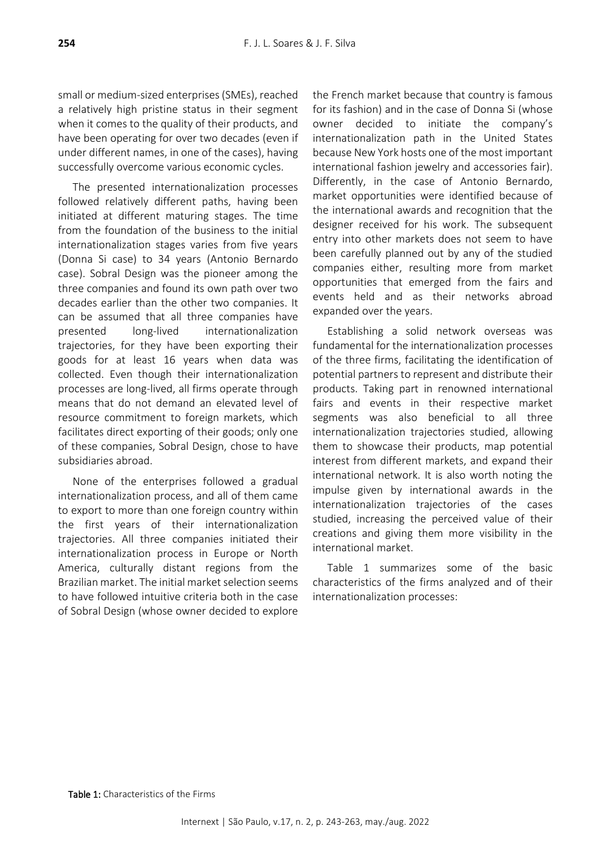small or medium-sized enterprises (SMEs), reached a relatively high pristine status in their segment when it comes to the quality of their products, and have been operating for over two decades (even if under different names, in one of the cases), having successfully overcome various economic cycles.

The presented internationalization processes followed relatively different paths, having been initiated at different maturing stages. The time from the foundation of the business to the initial internationalization stages varies from five years (Donna Si case) to 34 years (Antonio Bernardo case). Sobral Design was the pioneer among the three companies and found its own path over two decades earlier than the other two companies. It can be assumed that all three companies have presented long-lived internationalization trajectories, for they have been exporting their goods for at least 16 years when data was collected. Even though their internationalization processes are long-lived, all firms operate through means that do not demand an elevated level of resource commitment to foreign markets, which facilitates direct exporting of their goods; only one of these companies, Sobral Design, chose to have subsidiaries abroad.

None of the enterprises followed a gradual internationalization process, and all of them came to export to more than one foreign country within the first years of their internationalization trajectories. All three companies initiated their internationalization process in Europe or North America, culturally distant regions from the Brazilian market. The initial market selection seems to have followed intuitive criteria both in the case of Sobral Design (whose owner decided to explore

the French market because that country is famous for its fashion) and in the case of Donna Si (whose owner decided to initiate the company's internationalization path in the United States because New York hosts one of the most important international fashion jewelry and accessories fair). Differently, in the case of Antonio Bernardo, market opportunities were identified because of the international awards and recognition that the designer received for his work. The subsequent entry into other markets does not seem to have been carefully planned out by any of the studied companies either, resulting more from market opportunities that emerged from the fairs and events held and as their networks abroad expanded over the years.

Establishing a solid network overseas was fundamental for the internationalization processes of the three firms, facilitating the identification of potential partners to represent and distribute their products. Taking part in renowned international fairs and events in their respective market segments was also beneficial to all three internationalization trajectories studied, allowing them to showcase their products, map potential interest from different markets, and expand their international network. It is also worth noting the impulse given by international awards in the internationalization trajectories of the cases studied, increasing the perceived value of their creations and giving them more visibility in the international market.

Table 1 summarizes some of the basic characteristics of the firms analyzed and of their internationalization processes: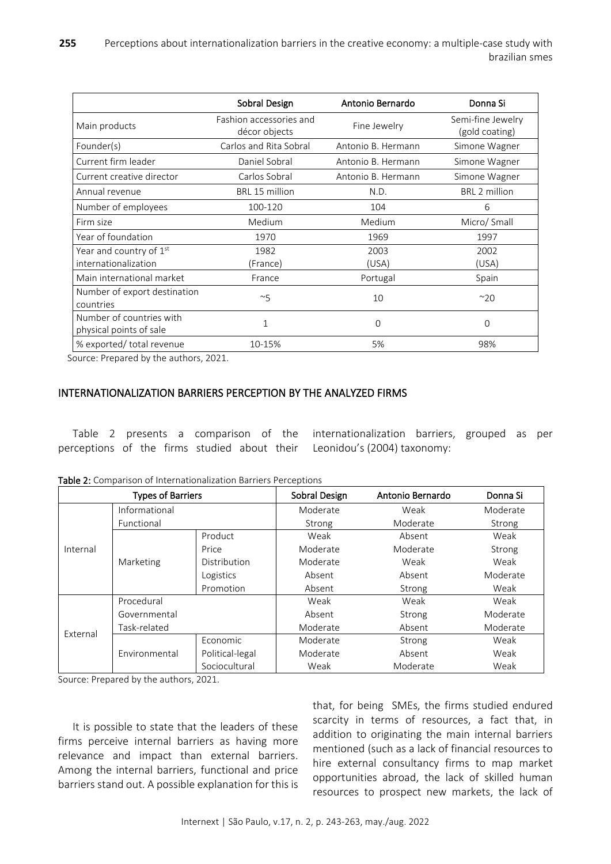|                                                     | Sobral Design                            | Antonio Bernardo   | Donna Si                            |  |
|-----------------------------------------------------|------------------------------------------|--------------------|-------------------------------------|--|
| Main products                                       | Fashion accessories and<br>décor objects | Fine Jewelry       | Semi-fine Jewelry<br>(gold coating) |  |
| Founder(s)                                          | Carlos and Rita Sobral                   | Antonio B. Hermann | Simone Wagner                       |  |
| Current firm leader                                 | Daniel Sobral                            | Antonio B. Hermann | Simone Wagner                       |  |
| Current creative director                           | Carlos Sobral                            | Antonio B. Hermann | Simone Wagner                       |  |
| Annual revenue                                      | BRL 15 million                           | N.D.               | <b>BRL 2 million</b>                |  |
| Number of employees                                 | 100-120                                  |                    | 6                                   |  |
| Firm size                                           | Medium                                   | Medium             | Micro/ Small                        |  |
| Year of foundation                                  | 1970                                     | 1969               | 1997                                |  |
| Year and country of $1st$<br>internationalization   | 1982<br>(France)                         |                    | 2002<br>(USA)                       |  |
| Main international market                           | France                                   |                    | Spain                               |  |
| Number of export destination<br>countries           | ~5                                       | 10                 | $^{\sim}20$                         |  |
| Number of countries with<br>physical points of sale | $\mathbf{1}$                             | 0                  | 0                                   |  |
| % exported/ total revenue<br>10-15%                 |                                          | 5%                 | 98%                                 |  |

Source: Prepared by the authors, 2021.

## INTERNATIONALIZATION BARRIERS PERCEPTION BY THE ANALYZED FIRMS

Table 2 presents a comparison of the perceptions of the firms studied about their internationalization barriers, grouped as per Leonidou's (2004) taxonomy:

| <b>Types of Barriers</b> |               | Sobral Design   | Antonio Bernardo | Donna Si |          |
|--------------------------|---------------|-----------------|------------------|----------|----------|
|                          | Informational |                 | Moderate         | Weak     | Moderate |
| Internal                 | Functional    |                 | Strong           | Moderate | Strong   |
|                          | Marketing     | Product         | Weak             | Absent   | Weak     |
|                          |               | Price           | Moderate         | Moderate | Strong   |
|                          |               | Distribution    | Moderate         | Weak     | Weak     |
|                          |               | Logistics       | Absent           | Absent   | Moderate |
|                          |               | Promotion       | Absent           | Strong   | Weak     |
|                          | Procedural    |                 | Weak             | Weak     | Weak     |
| External                 | Governmental  |                 | Absent           | Strong   | Moderate |
|                          | Task-related  |                 | Moderate         | Absent   | Moderate |
|                          | Environmental | Economic        | Moderate         | Strong   | Weak     |
|                          |               | Political-legal | Moderate         | Absent   | Weak     |
|                          |               | Sociocultural   | Weak             | Moderate | Weak     |

Table 2: Comparison of Internationalization Barriers Perceptions

Source: Prepared by the authors, 2021.

It is possible to state that the leaders of these firms perceive internal barriers as having more relevance and impact than external barriers. Among the internal barriers, functional and price barriers stand out. A possible explanation for this is that, for being SMEs, the firms studied endured scarcity in terms of resources, a fact that, in addition to originating the main internal barriers mentioned (such as a lack of financial resources to hire external consultancy firms to map market opportunities abroad, the lack of skilled human resources to prospect new markets, the lack of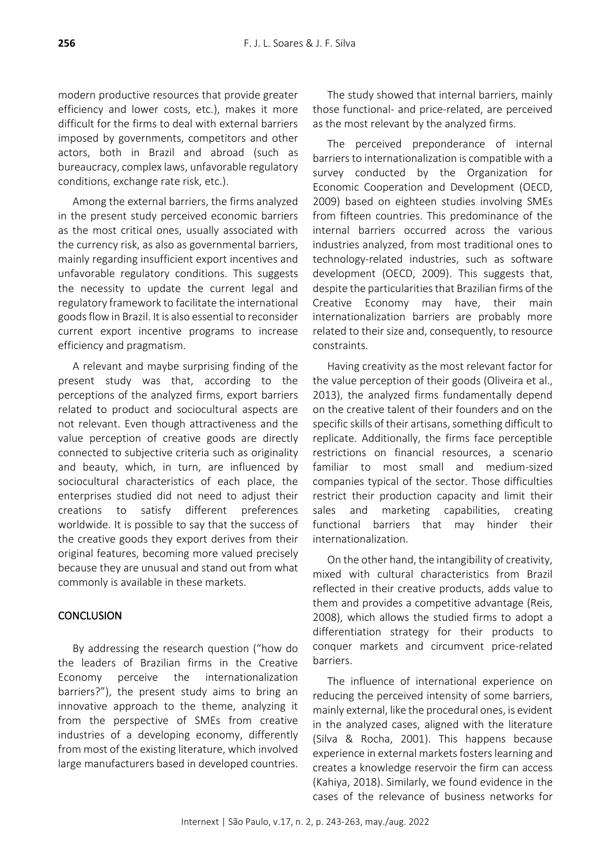modern productive resources that provide greater efficiency and lower costs, etc.), makes it more difficult for the firms to deal with external barriers imposed by governments, competitors and other actors, both in Brazil and abroad (such as bureaucracy, complex laws, unfavorable regulatory conditions, exchange rate risk, etc.).

Among the external barriers, the firms analyzed in the present study perceived economic barriers as the most critical ones, usually associated with the currency risk, as also as governmental barriers, mainly regarding insufficient export incentives and unfavorable regulatory conditions. This suggests the necessity to update the current legal and regulatory framework to facilitate the international goods flow in Brazil. It is also essential to reconsider current export incentive programs to increase efficiency and pragmatism.

A relevant and maybe surprising finding of the present study was that, according to the perceptions of the analyzed firms, export barriers related to product and sociocultural aspects are not relevant. Even though attractiveness and the value perception of creative goods are directly connected to subjective criteria such as originality and beauty, which, in turn, are influenced by sociocultural characteristics of each place, the enterprises studied did not need to adjust their creations to satisfy different preferences worldwide. It is possible to say that the success of the creative goods they export derives from their original features, becoming more valued precisely because they are unusual and stand out from what commonly is available in these markets.

# **CONCLUSION**

By addressing the research question ("how do the leaders of Brazilian firms in the Creative Economy perceive the internationalization barriers?"), the present study aims to bring an innovative approach to the theme, analyzing it from the perspective of SMEs from creative industries of a developing economy, differently from most of the existing literature, which involved large manufacturers based in developed countries.

The study showed that internal barriers, mainly those functional- and price-related, are perceived as the most relevant by the analyzed firms.

The perceived preponderance of internal barriers to internationalization is compatible with a survey conducted by the Organization for Economic Cooperation and Development (OECD, 2009) based on eighteen studies involving SMEs from fifteen countries. This predominance of the internal barriers occurred across the various industries analyzed, from most traditional ones to technology-related industries, such as software development (OECD, 2009). This suggests that, despite the particularities that Brazilian firms of the Creative Economy may have, their main internationalization barriers are probably more related to their size and, consequently, to resource constraints.

Having creativity as the most relevant factor for the value perception of their goods (Oliveira et al., 2013), the analyzed firms fundamentally depend on the creative talent of their founders and on the specific skills of their artisans, something difficult to replicate. Additionally, the firms face perceptible restrictions on financial resources, a scenario familiar to most small and medium-sized companies typical of the sector. Those difficulties restrict their production capacity and limit their sales and marketing capabilities, creating functional barriers that may hinder their internationalization.

On the other hand, the intangibility of creativity, mixed with cultural characteristics from Brazil reflected in their creative products, adds value to them and provides a competitive advantage (Reis, 2008), which allows the studied firms to adopt a differentiation strategy for their products to conquer markets and circumvent price-related barriers.

The influence of international experience on reducing the perceived intensity of some barriers, mainly external, like the procedural ones, is evident in the analyzed cases, aligned with the literature (Silva & Rocha, 2001). This happens because experience in external markets fosters learning and creates a knowledge reservoir the firm can access (Kahiya, 2018). Similarly, we found evidence in the cases of the relevance of business networks for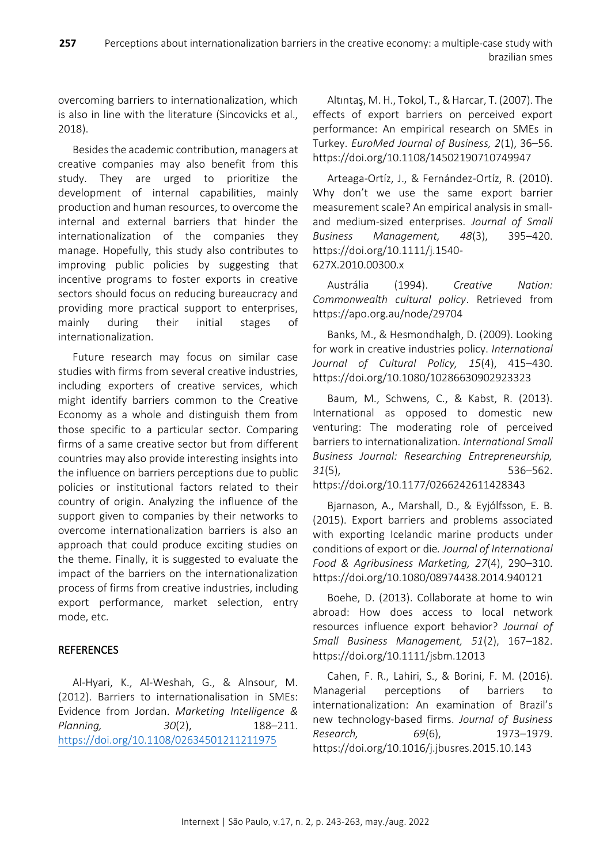overcoming barriers to internationalization, which is also in line with the literature (Sincovicks et al., 2018).

Besides the academic contribution, managers at creative companies may also benefit from this study. They are urged to prioritize the development of internal capabilities, mainly production and human resources, to overcome the internal and external barriers that hinder the internationalization of the companies they manage. Hopefully, this study also contributes to improving public policies by suggesting that incentive programs to foster exports in creative sectors should focus on reducing bureaucracy and providing more practical support to enterprises, mainly during their initial stages of internationalization.

Future research may focus on similar case studies with firms from several creative industries, including exporters of creative services, which might identify barriers common to the Creative Economy as a whole and distinguish them from those specific to a particular sector. Comparing firms of a same creative sector but from different countries may also provide interesting insights into the influence on barriers perceptions due to public policies or institutional factors related to their country of origin. Analyzing the influence of the support given to companies by their networks to overcome internationalization barriers is also an approach that could produce exciting studies on the theme. Finally, it is suggested to evaluate the impact of the barriers on the internationalization process of firms from creative industries, including export performance, market selection, entry mode, etc.

# **REFERENCES**

Al‐Hyari, K., Al‐Weshah, G., & Alnsour, M. (2012). Barriers to internationalisation in SMEs: Evidence from Jordan. *Marketing Intelligence & Planning, 30*(2), 188–211. <https://doi.org/10.1108/02634501211211975>

Altıntaş, M. H., Tokol, T., & Harcar, T. (2007). The effects of export barriers on perceived export performance: An empirical research on SMEs in Turkey. *EuroMed Journal of Business, 2*(1), 36–56. <https://doi.org/10.1108/14502190710749947>

Arteaga-Ortíz, J., & Fernández-Ortíz, R. (2010). Why don't we use the same export barrier measurement scale? An empirical analysis in smalland medium-sized enterprises. *Journal of Small Business Management, 48*(3), 395–420. [https://doi.org/10.1111/j.1540-](https://doi.org/10.1111/j.1540-627X.2010.00300.x) [627X.2010.00300.x](https://doi.org/10.1111/j.1540-627X.2010.00300.x)

Austrália (1994). *Creative Nation: Commonwealth cultural policy*. Retrieved from <https://apo.org.au/node/29704>

Banks, M., & Hesmondhalgh, D. (2009). Looking for work in creative industries policy. *International Journal of Cultural Policy, 15*(4), 415–430. <https://doi.org/10.1080/10286630902923323>

Baum, M., Schwens, C., & Kabst, R. (2013). International as opposed to domestic new venturing: The moderating role of perceived barriers to internationalization. *International Small Business Journal: Researching Entrepreneurship, 31*(5), 536–562.

<https://doi.org/10.1177/0266242611428343>

Bjarnason, A., Marshall, D., & Eyjólfsson, E. B. (2015). Export barriers and problems associated with exporting Icelandic marine products under conditions of export or die*. Journal of International Food & Agribusiness Marketing, 27*(4), 290–310. <https://doi.org/10.1080/08974438.2014.940121>

Boehe, D. (2013). Collaborate at home to win abroad: How does access to local network resources influence export behavior? *Journal of Small Business Management, 51*(2), 167–182. <https://doi.org/10.1111/jsbm.12013>

Cahen, F. R., Lahiri, S., & Borini, F. M. (2016). Managerial perceptions of barriers to internationalization: An examination of Brazil's new technology-based firms. *Journal of Business Research, 69*(6), 1973–1979. <https://doi.org/10.1016/j.jbusres.2015.10.143>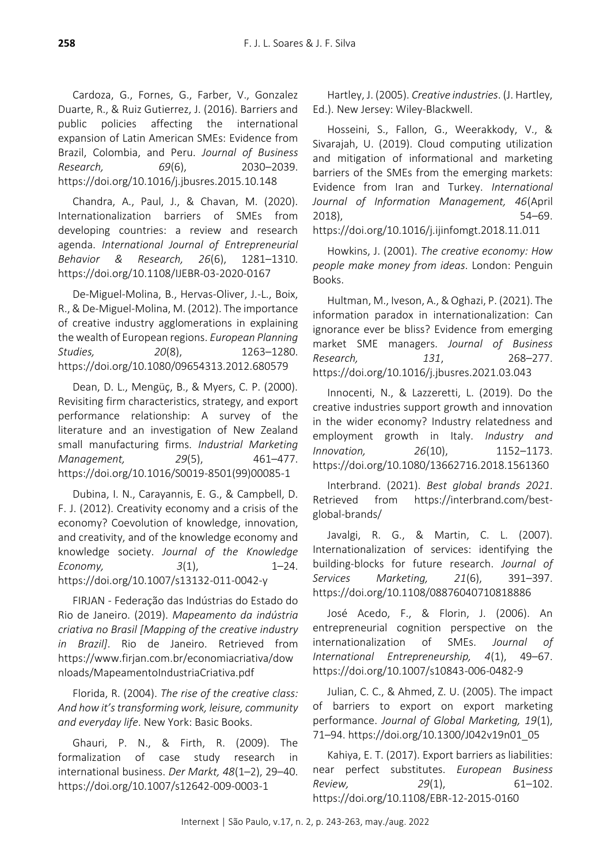Cardoza, G., Fornes, G., Farber, V., Gonzalez Duarte, R., & Ruiz Gutierrez, J. (2016). Barriers and public policies affecting the international expansion of Latin American SMEs: Evidence from Brazil, Colombia, and Peru. *Journal of Business Research, 69*(6), 2030–2039. <https://doi.org/10.1016/j.jbusres.2015.10.148>

Chandra, A., Paul, J., & Chavan, M. (2020). Internationalization barriers of SMEs from developing countries: a review and research agenda. *International Journal of Entrepreneurial Behavior & Research, 26*(6), 1281–1310. <https://doi.org/10.1108/IJEBR-03-2020-0167>

De-Miguel-Molina, B., Hervas-Oliver, J.-L., Boix, R., & De-Miguel-Molina, M. (2012). The importance of creative industry agglomerations in explaining the wealth of European regions. *European Planning Studies, 20*(8), 1263–1280. <https://doi.org/10.1080/09654313.2012.680579>

Dean, D. L., Mengüç, B., & Myers, C. P. (2000). Revisiting firm characteristics, strategy, and export performance relationship: A survey of the literature and an investigation of New Zealand small manufacturing firms. *Industrial Marketing Management, 29*(5), 461–477. [https://doi.org/10.1016/S0019-8501\(99\)00085-1](https://doi.org/10.1016/S0019-8501(99)00085-1)

Dubina, I. N., Carayannis, E. G., & Campbell, D. F. J. (2012). Creativity economy and a crisis of the economy? Coevolution of knowledge, innovation, and creativity, and of the knowledge economy and knowledge society. *Journal of the Knowledge Economy, 3*(1), 1–24. <https://doi.org/10.1007/s13132-011-0042-y>

FIRJAN - Federação das Indústrias do Estado do Rio de Janeiro. (2019). *Mapeamento da indústria criativa no Brasil [Mapping of the creative industry in Brazil]*. Rio de Janeiro. Retrieved from [https://www.firjan.com.br/economiacriativa/dow](https://www.firjan.com.br/economiacriativa/downloads/MapeamentoIndustriaCriativa.pdf) [nloads/MapeamentoIndustriaCriativa.pdf](https://www.firjan.com.br/economiacriativa/downloads/MapeamentoIndustriaCriativa.pdf)

Florida, R. (2004). *The rise of the creative class: And how it's transforming work, leisure, community and everyday life*. New York: Basic Books.

Ghauri, P. N., & Firth, R. (2009). The formalization of case study research in international business. *Der Markt, 48*(1–2), 29–40. <https://doi.org/10.1007/s12642-009-0003-1>

Hartley, J. (2005). *Creative industries*. (J. Hartley, Ed.). New Jersey: Wiley-Blackwell.

Hosseini, S., Fallon, G., Weerakkody, V., & Sivarajah, U. (2019). Cloud computing utilization and mitigation of informational and marketing barriers of the SMEs from the emerging markets: Evidence from Iran and Turkey. *International Journal of Information Management, 46*(April 2018), 54–69.

<https://doi.org/10.1016/j.ijinfomgt.2018.11.011>

Howkins, J. (2001). *The creative economy: How people make money from ideas*. London: Penguin Books.

Hultman, M., Iveson, A., & Oghazi, P. (2021). The information paradox in internationalization: Can ignorance ever be bliss? Evidence from emerging market SME managers. *Journal of Business Research, 131*, 268–277. <https://doi.org/10.1016/j.jbusres.2021.03.043>

Innocenti, N., & Lazzeretti, L. (2019). Do the creative industries support growth and innovation in the wider economy? Industry relatedness and employment growth in Italy. *Industry and Innovation, 26*(10), 1152–1173. <https://doi.org/10.1080/13662716.2018.1561360>

Interbrand. (2021). *Best global brands 2021*. Retrieved from [https://interbrand.com/best](https://interbrand.com/best-global-brands/)[global-brands/](https://interbrand.com/best-global-brands/)

Javalgi, R. G., & Martin, C. L. (2007). Internationalization of services: identifying the building‐blocks for future research. *Journal of Services Marketing, 21*(6), 391–397. <https://doi.org/10.1108/08876040710818886>

José Acedo, F., & Florin, J. (2006). An entrepreneurial cognition perspective on the internationalization of SMEs. *Journal of International Entrepreneurship, 4*(1), 49–67. <https://doi.org/10.1007/s10843-006-0482-9>

Julian, C. C., & Ahmed, Z. U. (2005). The impact of barriers to export on export marketing performance. *Journal of Global Marketing, 19*(1), 71–94. [https://doi.org/10.1300/J042v19n01\\_05](https://doi.org/10.1300/J042v19n01_05)

Kahiya, E. T. (2017). Export barriers as liabilities: near perfect substitutes. *European Business Review, 29*(1), 61–102. <https://doi.org/10.1108/EBR-12-2015-0160>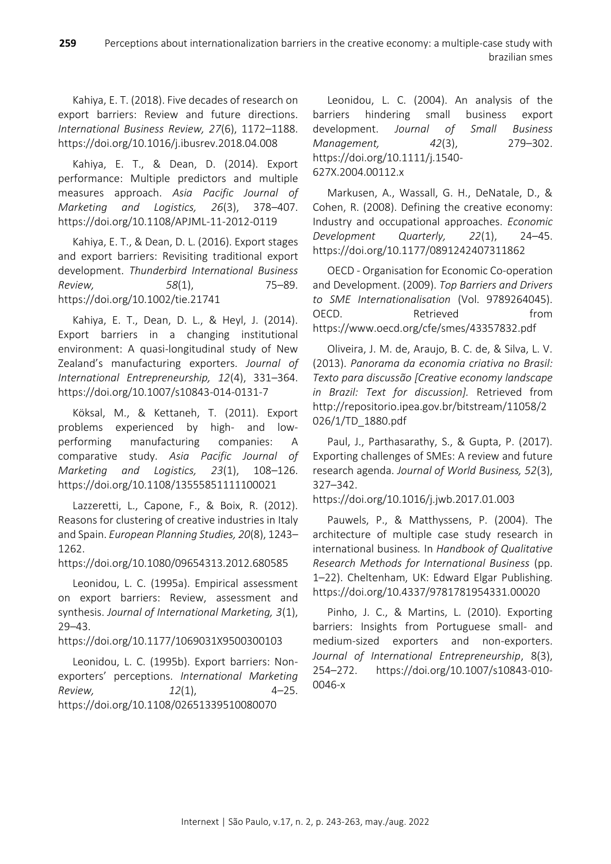Kahiya, E. T. (2018). Five decades of research on export barriers: Review and future directions. *International Business Review, 27*(6), 1172–1188. <https://doi.org/10.1016/j.ibusrev.2018.04.008>

Kahiya, E. T., & Dean, D. (2014). Export performance: Multiple predictors and multiple measures approach. *Asia Pacific Journal of Marketing and Logistics, 26*(3), 378–407. <https://doi.org/10.1108/APJML-11-2012-0119>

Kahiya, E. T., & Dean, D. L. (2016). Export stages and export barriers: Revisiting traditional export development. *Thunderbird International Business Review, 58*(1), 75–89. <https://doi.org/10.1002/tie.21741>

Kahiya, E. T., Dean, D. L., & Heyl, J. (2014). Export barriers in a changing institutional environment: A quasi-longitudinal study of New Zealand's manufacturing exporters. *Journal of International Entrepreneurship, 12*(4), 331–364. <https://doi.org/10.1007/s10843-014-0131-7>

Köksal, M., & Kettaneh, T. (2011). Export problems experienced by high- and lowperforming manufacturing companies: A comparative study. *Asia Pacific Journal of Marketing and Logistics, 23*(1), 108–126. <https://doi.org/10.1108/13555851111100021>

Lazzeretti, L., Capone, F., & Boix, R. (2012). Reasons for clustering of creative industries in Italy and Spain. *European Planning Studies, 20*(8), 1243– 1262.

<https://doi.org/10.1080/09654313.2012.680585>

Leonidou, L. C. (1995a). Empirical assessment on export barriers: Review, assessment and synthesis. *Journal of International Marketing, 3*(1), 29–43.

<https://doi.org/10.1177/1069031X9500300103>

Leonidou, L. C. (1995b). Export barriers: Nonexporters' perceptions. *International Marketing Review, 12*(1), 4–25. <https://doi.org/10.1108/02651339510080070>

Leonidou, L. C. (2004). An analysis of the barriers hindering small business export development. *Journal of Small Business Management, 42*(3), 279–302. [https://doi.org/10.1111/j.1540-](https://doi.org/10.1111/j.1540-627X.2004.00112.x) [627X.2004.00112.x](https://doi.org/10.1111/j.1540-627X.2004.00112.x)

Markusen, A., Wassall, G. H., DeNatale, D., & Cohen, R. (2008). Defining the creative economy: Industry and occupational approaches. *Economic Development Quarterly, 22*(1), 24–45. <https://doi.org/10.1177/0891242407311862>

OECD - Organisation for Economic Co-operation and Development. (2009). *Top Barriers and Drivers to SME Internationalisation* (Vol. 9789264045). OECD. Retrieved from <https://www.oecd.org/cfe/smes/43357832.pdf>

Oliveira, J. M. de, Araujo, B. C. de, & Silva, L. V. (2013). *Panorama da economia criativa no Brasil: Texto para discussão [Creative economy landscape in Brazil: Text for discussion].* Retrieved from [http://repositorio.ipea.gov.br/bitstream/11058/2](http://repositorio.ipea.gov.br/bitstream/11058/2026/1/TD_1880.pdf) [026/1/TD\\_1880.pdf](http://repositorio.ipea.gov.br/bitstream/11058/2026/1/TD_1880.pdf)

Paul, J., Parthasarathy, S., & Gupta, P. (2017). Exporting challenges of SMEs: A review and future research agenda. *Journal of World Business, 52*(3), 327–342.

<https://doi.org/10.1016/j.jwb.2017.01.003>

Pauwels, P., & Matthyssens, P. (2004). The architecture of multiple case study research in international business*.* In *Handbook of Qualitative Research Methods for International Business* (pp. 1–22). Cheltenham, UK: Edward Elgar Publishing. <https://doi.org/10.4337/9781781954331.00020>

Pinho, J. C., & Martins, L. (2010). Exporting barriers: Insights from Portuguese small- and medium-sized exporters and non-exporters. *Journal of International Entrepreneurship*, 8(3), 254–272. [https://doi.org/10.1007/s10843-010-](https://doi.org/10.1007/s10843-010-0046-x) [0046-x](https://doi.org/10.1007/s10843-010-0046-x)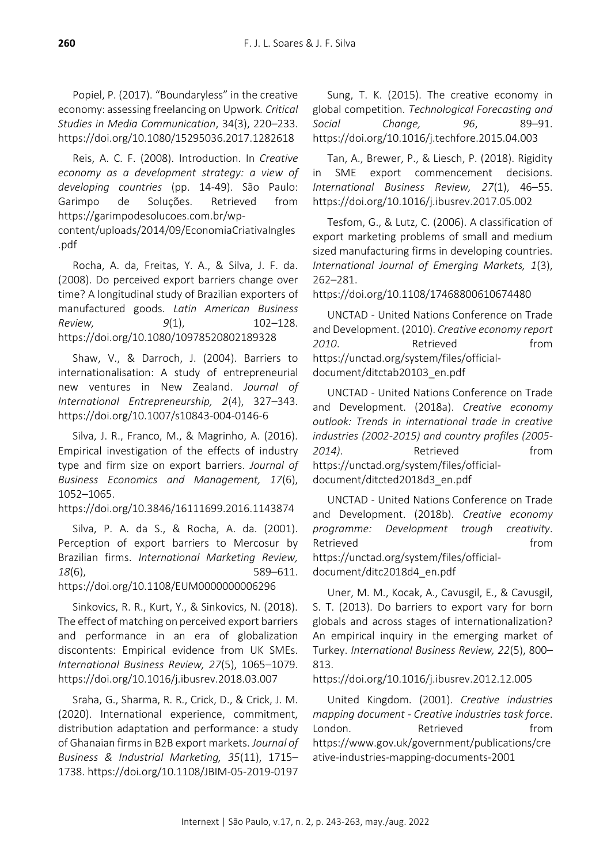Popiel, P. (2017). "Boundaryless" in the creative economy: assessing freelancing on Upwork*. Critical Studies in Media Communication*, 34(3), 220–233. <https://doi.org/10.1080/15295036.2017.1282618>

Reis, A. C. F. (2008). Introduction. In *Creative economy as a development strategy: a view of developing countries* (pp. 14-49). São Paulo: Garimpo de Soluções. Retrieved from [https://garimpodesolucoes.com.br/wp-](https://garimpodesolucoes.com.br/wp-content/uploads/2014/09/EconomiaCriativaIngles.pdf)

[content/uploads/2014/09/EconomiaCriativaIngles](https://garimpodesolucoes.com.br/wp-content/uploads/2014/09/EconomiaCriativaIngles.pdf) [.pdf](https://garimpodesolucoes.com.br/wp-content/uploads/2014/09/EconomiaCriativaIngles.pdf)

Rocha, A. da, Freitas, Y. A., & Silva, J. F. da. (2008). Do perceived export barriers change over time? A longitudinal study of Brazilian exporters of manufactured goods. *Latin American Business Review, 9*(1), 102–128. <https://doi.org/10.1080/10978520802189328>

Shaw, V., & Darroch, J. (2004). Barriers to internationalisation: A study of entrepreneurial new ventures in New Zealand. *Journal of International Entrepreneurship, 2*(4), 327–343. <https://doi.org/10.1007/s10843-004-0146-6>

Silva, J. R., Franco, M., & Magrinho, A. (2016). Empirical investigation of the effects of industry type and firm size on export barriers. *Journal of Business Economics and Management, 17*(6), 1052–1065.

<https://doi.org/10.3846/16111699.2016.1143874>

Silva, P. A. da S., & Rocha, A. da. (2001). Perception of export barriers to Mercosur by Brazilian firms. *International Marketing Review, 18*(6), 589–611.

<https://doi.org/10.1108/EUM0000000006296>

Sinkovics, R. R., Kurt, Y., & Sinkovics, N. (2018). The effect of matching on perceived export barriers and performance in an era of globalization discontents: Empirical evidence from UK SMEs. *International Business Review, 27*(5), 1065–1079. <https://doi.org/10.1016/j.ibusrev.2018.03.007>

Sraha, G., Sharma, R. R., Crick, D., & Crick, J. M. (2020). International experience, commitment, distribution adaptation and performance: a study of Ghanaian firms in B2B export markets. *Journal of Business & Industrial Marketing, 35*(11), 1715– 1738.<https://doi.org/10.1108/JBIM-05-2019-0197>

Sung, T. K. (2015). The creative economy in global competition. *Technological Forecasting and Social Change, 96*, 89–91. <https://doi.org/10.1016/j.techfore.2015.04.003>

Tan, A., Brewer, P., & Liesch, P. (2018). Rigidity in SME export commencement decisions. *International Business Review, 27*(1), 46–55. <https://doi.org/10.1016/j.ibusrev.2017.05.002>

Tesfom, G., & Lutz, C. (2006). A classification of export marketing problems of small and medium sized manufacturing firms in developing countries. *International Journal of Emerging Markets, 1*(3), 262–281.

<https://doi.org/10.1108/17468800610674480>

UNCTAD - United Nations Conference on Trade and Development. (2010). *Creative economy report*  2010. **Retrieved** from [https://unctad.org/system/files/official](https://unctad.org/system/files/official-document/ditctab20103_en.pdf)[document/ditctab20103\\_en.pdf](https://unctad.org/system/files/official-document/ditctab20103_en.pdf)

UNCTAD - United Nations Conference on Trade and Development. (2018a). *Creative economy outlook: Trends in international trade in creative industries (2002-2015) and country profiles (2005- 2014)*. Retrieved from [https://unctad.org/system/files/official](https://unctad.org/system/files/official-document/ditcted2018d3_en.pdf)[document/ditcted2018d3\\_en.pdf](https://unctad.org/system/files/official-document/ditcted2018d3_en.pdf)

UNCTAD - United Nations Conference on Trade and Development. (2018b). *Creative economy programme: Development trough creativity*. Retrieved **from** [https://unctad.org/system/files/official](https://unctad.org/system/files/official-document/ditc2018d4_en.pdf)[document/ditc2018d4\\_en.pdf](https://unctad.org/system/files/official-document/ditc2018d4_en.pdf)

Uner, M. M., Kocak, A., Cavusgil, E., & Cavusgil, S. T. (2013). Do barriers to export vary for born globals and across stages of internationalization? An empirical inquiry in the emerging market of Turkey. *International Business Review, 22*(5), 800– 813.

<https://doi.org/10.1016/j.ibusrev.2012.12.005>

United Kingdom. (2001). *Creative industries mapping document - Creative industries task force*. London. Retrieved from [https://www.gov.uk/government/publications/cre](https://www.gov.uk/government/publications/creative-industries-mapping-documents-2001) [ative-industries-mapping-documents-2001](https://www.gov.uk/government/publications/creative-industries-mapping-documents-2001)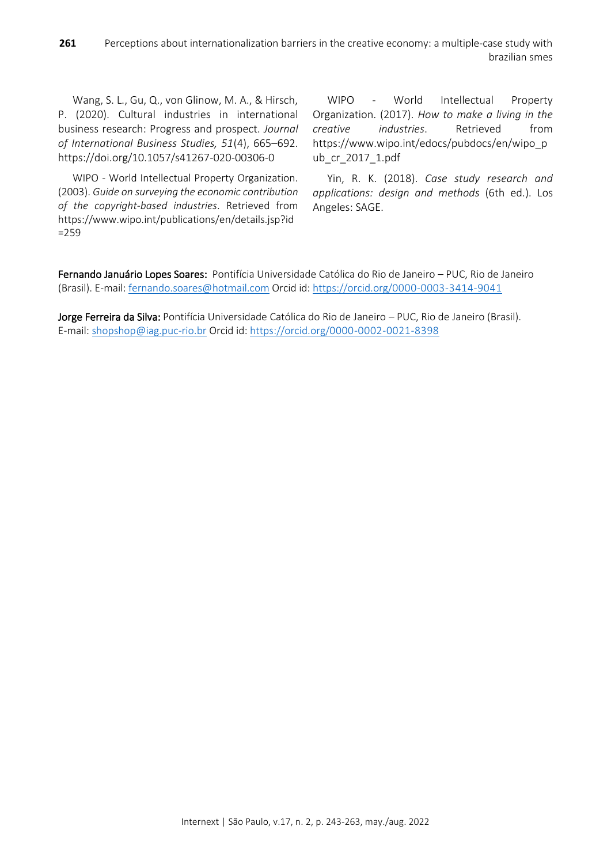Wang, S. L., Gu, Q., von Glinow, M. A., & Hirsch, P. (2020). Cultural industries in international business research: Progress and prospect. *Journal of International Business Studies, 51*(4), 665–692. <https://doi.org/10.1057/s41267-020-00306-0>

WIPO - World Intellectual Property Organization. (2003). *Guide on surveying the economic contribution of the copyright-based industries*. Retrieved from [https://www.wipo.int/publications/en/details.jsp?id](https://www.wipo.int/publications/en/details.jsp?id=259) [=259](https://www.wipo.int/publications/en/details.jsp?id=259)

WIPO - World Intellectual Property Organization. (2017). *How to make a living in the creative industries*. Retrieved from [https://www.wipo.int/edocs/pubdocs/en/wipo\\_p](https://www.wipo.int/edocs/pubdocs/en/wipo_pub_cr_2017_1.pdf) [ub\\_cr\\_2017\\_1.pdf](https://www.wipo.int/edocs/pubdocs/en/wipo_pub_cr_2017_1.pdf)

Yin, R. K. (2018). *Case study research and applications: design and methods* (6th ed.). Los Angeles: SAGE.

Fernando Januário Lopes Soares: Pontifícia Universidade Católica do Rio de Janeiro – PUC, Rio de Janeiro (Brasil). E-mail: [fernando.soares@hotmail.com](mailto:fernando.soares@hotmail.com) Orcid id:<https://orcid.org/0000-0003-3414-9041>

Jorge Ferreira da Silva: Pontifícia Universidade Católica do Rio de Janeiro – PUC, Rio de Janeiro (Brasil). E-mail: [shopshop@iag.puc-rio.br](mailto:shopshop@iag.puc-rio.br) Orcid id: <https://orcid.org/0000-0002-0021-8398>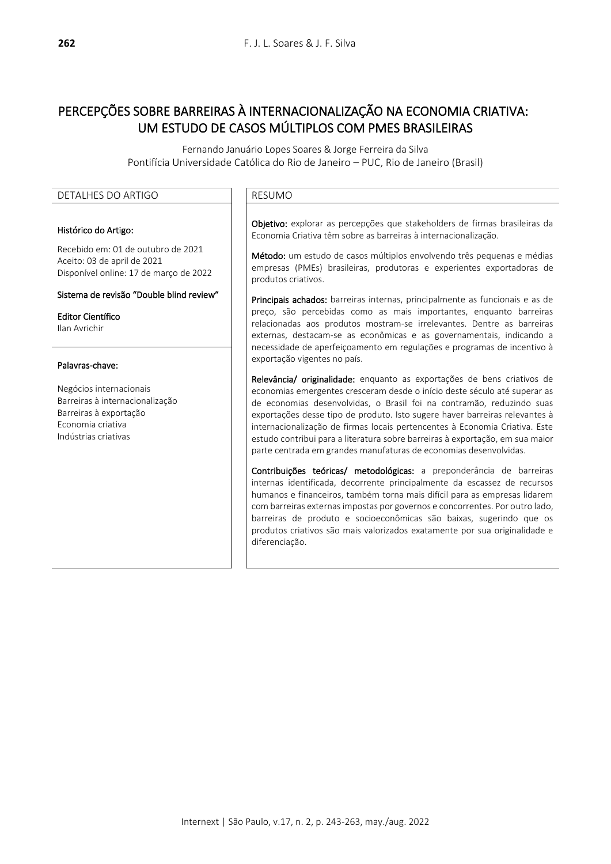# PERCEPÇÕES SOBRE BARREIRAS À INTERNACIONALIZAÇÃO NA ECONOMIA CRIATIVA: UM ESTUDO DE CASOS MÚLTIPLOS COM PMES BRASILEIRAS

Fernando Januário Lopes Soares & Jorge Ferreira da Silva Pontifícia Universidade Católica do Rio de Janeiro – PUC, Rio de Janeiro (Brasil)

### DETALHES DO ARTIGO **RESUMO**

#### Histórico do Artigo:

Recebido em: 01 de outubro de 2021 Aceito: 03 de april de 2021 Disponível online: 17 de março de 2022

#### Sistema de revisão "Double blind review"

Editor Científico Ilan Avrichir

#### Palavras-chave:

Negócios internacionais Barreiras à internacionalização Barreiras à exportação Economia criativa Indústrias criativas

Objetivo: explorar as percepções que stakeholders de firmas brasileiras da Economia Criativa têm sobre as barreiras à internacionalização.

Método: um estudo de casos múltiplos envolvendo três pequenas e médias empresas (PMEs) brasileiras, produtoras e experientes exportadoras de produtos criativos.

Principais achados: barreiras internas, principalmente as funcionais e as de preço, são percebidas como as mais importantes, enquanto barreiras relacionadas aos produtos mostram-se irrelevantes. Dentre as barreiras externas, destacam-se as econômicas e as governamentais, indicando a necessidade de aperfeiçoamento em regulações e programas de incentivo à exportação vigentes no país.

Relevância/ originalidade: enquanto as exportações de bens criativos de economias emergentes cresceram desde o início deste século até superar as de economias desenvolvidas, o Brasil foi na contramão, reduzindo suas exportações desse tipo de produto. Isto sugere haver barreiras relevantes à internacionalização de firmas locais pertencentes à Economia Criativa. Este estudo contribui para a literatura sobre barreiras à exportação, em sua maior parte centrada em grandes manufaturas de economias desenvolvidas.

Contribuições teóricas/ metodológicas: a preponderância de barreiras internas identificada, decorrente principalmente da escassez de recursos humanos e financeiros, também torna mais difícil para as empresas lidarem com barreiras externas impostas por governos e concorrentes. Por outro lado, barreiras de produto e socioeconômicas são baixas, sugerindo que os produtos criativos são mais valorizados exatamente por sua originalidade e diferenciação.